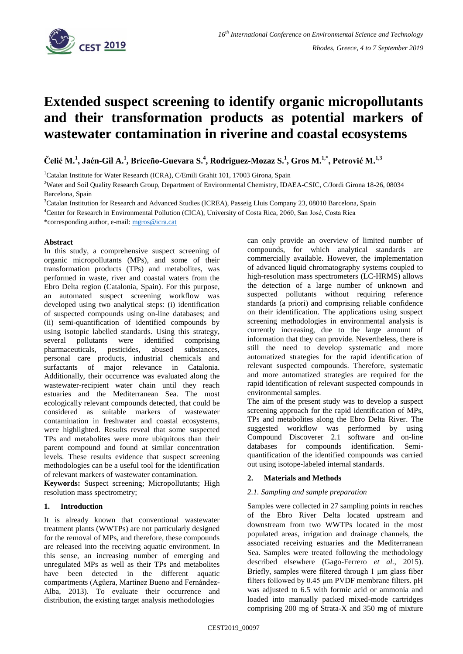

# **Extended suspect screening to identify organic micropollutants and their transformation products as potential markers of wastewater contamination in riverine and coastal ecosystems**

**Čelić M.<sup>1</sup> , Jaén-Gil A.<sup>1</sup> , Briceño-Guevara S.<sup>4</sup> , Rodriguez-Mozaz S.<sup>1</sup> , Gros M.1,\* , Petrović M.1,3**

<sup>1</sup>Catalan Institute for Water Research (ICRA), C/Emili Grahit 101, 17003 Girona, Spain

<sup>2</sup>Water and Soil Quality Research Group, Department of Environmental Chemistry, IDAEA-CSIC, C/Jordi Girona 18-26, 08034 Barcelona, Spain

<sup>3</sup>Catalan Institution for Research and Advanced Studies (ICREA), Passeig Lluis Company 23, 08010 Barcelona, Spain

<sup>4</sup>Center for Research in Environmental Pollution (CICA), University of Costa Rica, 2060, San José, Costa Rica

\*corresponding author, e-mail: [mgros@icra.cat](mailto:mgros@icra.cat)

#### **Abstract**

In this study, a comprehensive suspect screening of organic micropollutants (MPs), and some of their transformation products (TPs) and metabolites, was performed in waste, river and coastal waters from the Ebro Delta region (Catalonia, Spain). For this purpose, an automated suspect screening workflow was developed using two analytical steps: (i) identification of suspected compounds using on-line databases; and (ii) semi-quantification of identified compounds by using isotopic labelled standards. Using this strategy, several pollutants were identified comprising<br>pharmaceuticals, pesticides, abused substances, pharmaceuticals, pesticides, abused substances, personal care products, industrial chemicals and surfactants of major relevance in Catalonia. Additionally, their occurrence was evaluated along the wastewater-recipient water chain until they reach estuaries and the Mediterranean Sea. The most ecologically relevant compounds detected, that could be considered as suitable markers of wastewater contamination in freshwater and coastal ecosystems, were highlighted. Results reveal that some suspected TPs and metabolites were more ubiquitous than their parent compound and found at similar concentration levels. These results evidence that suspect screening methodologies can be a useful tool for the identification of relevant markers of wastewater contamination.

**Keywords:** Suspect screening; Micropollutants; High resolution mass spectrometry;

## **1. Introduction**

It is already known that conventional wastewater treatment plants (WWTPs) are not particularly designed for the removal of MPs, and therefore, these compounds are released into the receiving aquatic environment. In this sense, an increasing number of emerging and unregulated MPs as well as their TPs and metabolites have been detected in the different aquatic compartments (Agüera, Martínez Bueno and Fernández-Alba, 2013). To evaluate their occurrence and distribution, the existing target analysis methodologies

can only provide an overview of limited number of compounds, for which analytical standards are commercially available. However, the implementation of advanced liquid chromatography systems coupled to high-resolution mass spectrometers (LC-HRMS) allows the detection of a large number of unknown and suspected pollutants without requiring reference standards (a priori) and comprising reliable confidence on their identification. The applications using suspect screening methodologies in environmental analysis is currently increasing, due to the large amount of information that they can provide. Nevertheless, there is still the need to develop systematic and more automatized strategies for the rapid identification of relevant suspected compounds. Therefore, systematic and more automatized strategies are required for the rapid identification of relevant suspected compounds in environmental samples.

The aim of the present study was to develop a suspect screening approach for the rapid identification of MPs, TPs and metabolites along the Ebro Delta River. The suggested workflow was performed by using Compound Discoverer 2.1 software and on-line databases for compounds identification. Semiquantification of the identified compounds was carried out using isotope-labeled internal standards.

## **2. Materials and Methods**

## *2.1. Sampling and sample preparation*

Samples were collected in 27 sampling points in reaches of the Ebro River Delta located upstream and downstream from two WWTPs located in the most populated areas, irrigation and drainage channels, the associated receiving estuaries and the Mediterranean Sea. Samples were treated following the methodology described elsewhere (Gago-Ferrero *et al.*, 2015). Briefly, samples were filtered through 1 um glass fiber filters followed by 0.45 µm PVDF membrane filters. pH was adjusted to 6.5 with formic acid or ammonia and loaded into manually packed mixed-mode cartridges comprising 200 mg of Strata-X and 350 mg of mixture